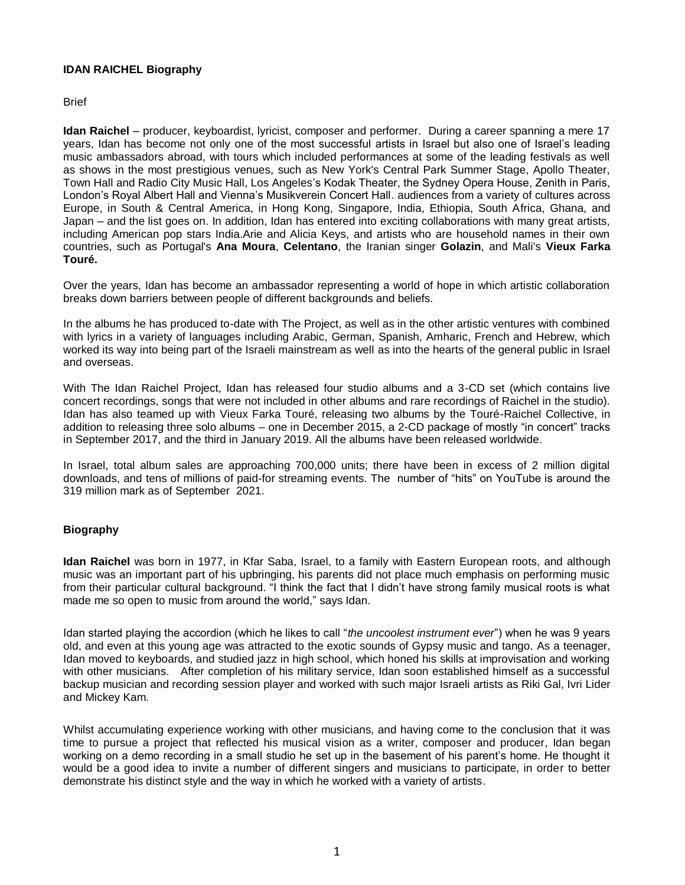## **IDAN RAICHEL Biography**

**Brief** 

**Idan Raichel** – producer, keyboardist, lyricist, composer and performer. During a career spanning a mere 17 years, Idan has become not only one of the most successful artists in Israel but also one of Israel's leading music ambassadors abroad, with tours which included performances at some of the leading festivals as well as shows in the most prestigious venues, such as New York's Central Park Summer Stage, Apollo Theater, Town Hall and Radio City Music Hall, Los Angeles's Kodak Theater, the Sydney Opera House, Zenith in Paris, London's Royal Albert Hall and Vienna's Musikverein Concert Hall. audiences from a variety of cultures across Europe, in South & Central America, in Hong Kong, Singapore, India, Ethiopia, South Africa, Ghana, and Japan – and the list goes on. In addition, Idan has entered into exciting collaborations with many great artists, including American pop stars India.Arie and Alicia Keys, and artists who are household names in their own countries, such as Portugal's **Ana Moura**, **Celentano**, the Iranian singer **Golazin**, and Mali's **Vieux Farka Touré.**

Over the years, Idan has become an ambassador representing a world of hope in which artistic collaboration breaks down barriers between people of different backgrounds and beliefs.

In the albums he has produced to-date with The Project, as well as in the other artistic ventures with combined with lyrics in a variety of languages including Arabic, German, Spanish, Amharic, French and Hebrew, which worked its way into being part of the Israeli mainstream as well as into the hearts of the general public in Israel and overseas.

With The Idan Raichel Project, Idan has released four studio albums and a 3-CD set (which contains live concert recordings, songs that were not included in other albums and rare recordings of Raichel in the studio). Idan has also teamed up with Vieux Farka Touré, releasing two albums by the Touré-Raichel Collective, in addition to releasing three solo albums – one in December 2015, a 2-CD package of mostly "in concert" tracks in September 2017, and the third in January 2019. All the albums have been released worldwide.

In Israel, total album sales are approaching 700,000 units; there have been in excess of 2 million digital downloads, and tens of millions of paid-for streaming events. The number of "hits" on YouTube is around the 319 million mark as of September 2021.

## **Biography**

**Idan Raichel** was born in 1977, in Kfar Saba, Israel, to a family with Eastern European roots, and although music was an important part of his upbringing, his parents did not place much emphasis on performing music from their particular cultural background. "I think the fact that I didn't have strong family musical roots is what made me so open to music from around the world," says Idan.

Idan started playing the accordion (which he likes to call "*the uncoolest instrument ever*") when he was 9 years old, and even at this young age was attracted to the exotic sounds of Gypsy music and tango. As a teenager, Idan moved to keyboards, and studied jazz in high school, which honed his skills at improvisation and working with other musicians. After completion of his military service, Idan soon established himself as a successful backup musician and recording session player and worked with such major Israeli artists as Riki Gal, Ivri Lider and Mickey Kam.

Whilst accumulating experience working with other musicians, and having come to the conclusion that it was time to pursue a project that reflected his musical vision as a writer, composer and producer, Idan began working on a demo recording in a small studio he set up in the basement of his parent's home. He thought it would be a good idea to invite a number of different singers and musicians to participate, in order to better demonstrate his distinct style and the way in which he worked with a variety of artists.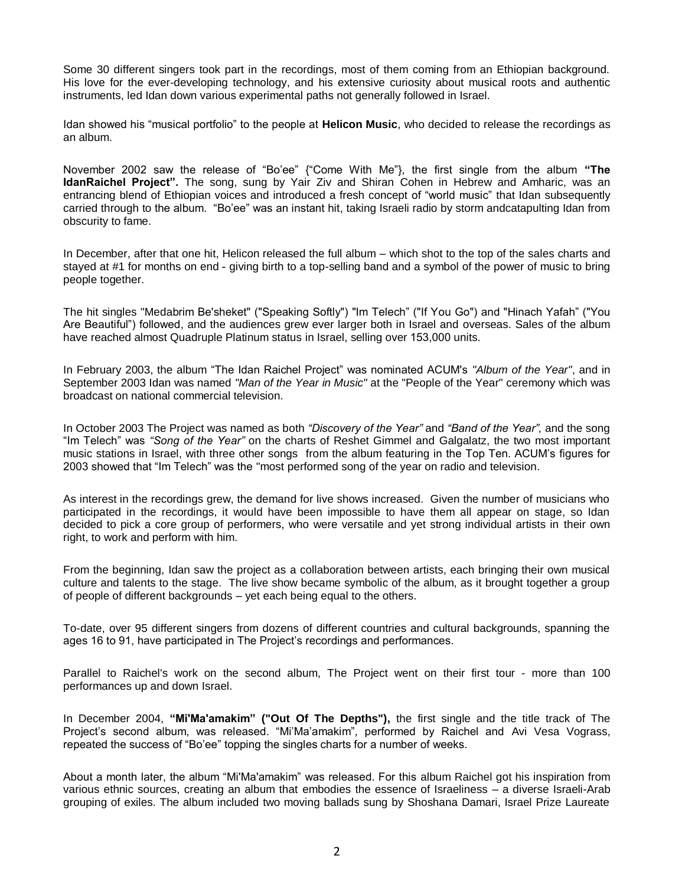Some 30 different singers took part in the recordings, most of them coming from an Ethiopian background. His love for the ever-developing technology, and his extensive curiosity about musical roots and authentic instruments, led Idan down various experimental paths not generally followed in Israel.

Idan showed his "musical portfolio" to the people at **Helicon Music**, who decided to release the recordings as an album.

November 2002 saw the release of "Bo'ee" {"Come With Me"}, the first single from the album **"The IdanRaichel Project".** The song, sung by Yair Ziv and Shiran Cohen in Hebrew and Amharic, was an entrancing blend of Ethiopian voices and introduced a fresh concept of "world music" that Idan subsequently carried through to the album. "Bo'ee" was an instant hit, taking Israeli radio by storm andcatapulting Idan from obscurity to fame.

In December, after that one hit, Helicon released the full album – which shot to the top of the sales charts and stayed at #1 for months on end - giving birth to a top-selling band and a symbol of the power of music to bring people together.

The hit singles "Medabrim Be'sheket" ("Speaking Softly") "Im Telech" ("If You Go") and "Hinach Yafah" ("You Are Beautiful") followed, and the audiences grew ever larger both in Israel and overseas. Sales of the album have reached almost Quadruple Platinum status in Israel, selling over 153,000 units.

In February 2003, the album "The Idan Raichel Project" was nominated ACUM's *"Album of the Year"*, and in September 2003 Idan was named *"Man of the Year in Music"* at the "People of the Year" ceremony which was broadcast on national commercial television.

In October 2003 The Project was named as both *"Discovery of the Year"* and *"Band of the Year",* and the song "Im Telech" was *"Song of the Year"* on the charts of Reshet Gimmel and Galgalatz, the two most important music stations in Israel, with three other songs from the album featuring in the Top Ten. ACUM's figures for 2003 showed that "Im Telech" was the "most performed song of the year on radio and television.

As interest in the recordings grew, the demand for live shows increased. Given the number of musicians who participated in the recordings, it would have been impossible to have them all appear on stage, so Idan decided to pick a core group of performers, who were versatile and yet strong individual artists in their own right, to work and perform with him.

From the beginning, Idan saw the project as a collaboration between artists, each bringing their own musical culture and talents to the stage. The live show became symbolic of the album, as it brought together a group of people of different backgrounds – yet each being equal to the others.

To-date, over 95 different singers from dozens of different countries and cultural backgrounds, spanning the ages 16 to 91, have participated in The Project's recordings and performances.

Parallel to Raichel's work on the second album, The Project went on their first tour - more than 100 performances up and down Israel.

In December 2004, **"Mi'Ma'amakim" ("Out Of The Depths"),** the first single and the title track of The Project's second album, was released. "Mi'Ma'amakim", performed by Raichel and Avi Vesa Vograss, repeated the success of "Bo'ee" topping the singles charts for a number of weeks.

About a month later, the album "Mi'Ma'amakim" was released. For this album Raichel got his inspiration from various ethnic sources, creating an album that embodies the essence of Israeliness – a diverse Israeli-Arab grouping of exiles. The album included two moving ballads sung by Shoshana Damari, Israel Prize Laureate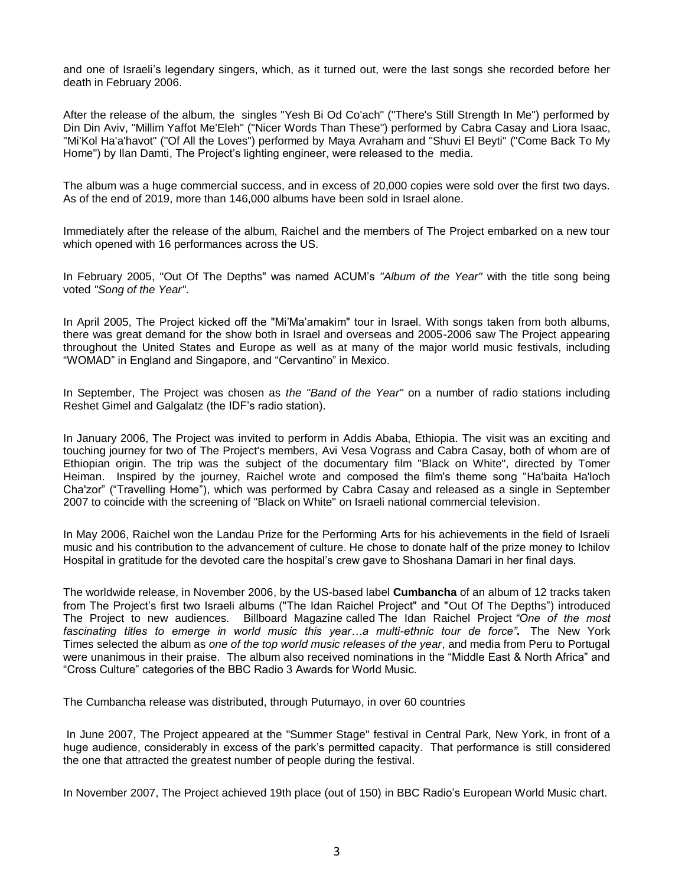and one of Israeli's legendary singers, which, as it turned out, were the last songs she recorded before her death in February 2006.

After the release of the album, the singles "Yesh Bi Od Co'ach" ("There's Still Strength In Me") performed by Din Din Aviv, "Millim Yaffot Me'Eleh" ("Nicer Words Than These") performed by Cabra Casay and Liora Isaac, "Mi'Kol Ha'a'havot" ("Of All the Loves") performed by Maya Avraham and "Shuvi El Beyti" ("Come Back To My Home") by Ilan Damti, The Project's lighting engineer, were released to the media.

The album was a huge commercial success, and in excess of 20,000 copies were sold over the first two days. As of the end of 2019, more than 146,000 albums have been sold in Israel alone.

Immediately after the release of the album, Raichel and the members of The Project embarked on a new tour which opened with 16 performances across the US.

In February 2005, "Out Of The Depths" was named ACUM's *"Album of the Year"* with the title song being voted *"Song of the Year"*.

In April 2005, The Project kicked off the "Mi'Ma'amakim" tour in Israel. With songs taken from both albums, there was great demand for the show both in Israel and overseas and 2005-2006 saw The Project appearing throughout the United States and Europe as well as at many of the major world music festivals, including "WOMAD" in England and Singapore, and "Cervantino" in Mexico.

In September, The Project was chosen as *the "Band of the Year"* on a number of radio stations including Reshet Gimel and Galgalatz (the IDF's radio station).

In January 2006, The Project was invited to perform in Addis Ababa, Ethiopia. The visit was an exciting and touching journey for two of The Project's members, Avi Vesa Vograss and Cabra Casay, both of whom are of Ethiopian origin. The trip was the subject of the documentary film "Black on White", directed by Tomer Heiman. Inspired by the journey, Raichel wrote and composed the film's theme song "Ha'baita Ha'loch Cha'zor" ("Travelling Home"), which was performed by Cabra Casay and released as a single in September 2007 to coincide with the screening of "Black on White" on Israeli national commercial television.

In May 2006, Raichel won the Landau Prize for the Performing Arts for his achievements in the field of Israeli music and his contribution to the advancement of culture. He chose to donate half of the prize money to Ichilov Hospital in gratitude for the devoted care the hospital's crew gave to Shoshana Damari in her final days.

The worldwide release, in November 2006, by the US-based label **Cumbancha** of an album of 12 tracks taken from The Project's first two Israeli albums ("The Idan Raichel Project" and "Out Of The Depths") introduced The Project to new audiences. Billboard Magazine called The Idan Raichel Project *"One of the most fascinating titles to emerge in world music this year…a multi-ethnic tour de force"***.** The New York Times selected the album as *one of the top world music releases of the year*, and media from Peru to Portugal were unanimous in their praise. The album also received nominations in the "Middle East & North Africa" and "Cross Culture" categories of the BBC Radio 3 Awards for World Music.

The Cumbancha release was distributed, through Putumayo, in over 60 countries

In June 2007, The Project appeared at the "Summer Stage" festival in Central Park, New York, in front of a huge audience, considerably in excess of the park's permitted capacity. That performance is still considered the one that attracted the greatest number of people during the festival.

In November 2007, The Project achieved 19th place (out of 150) in BBC Radio's European World Music chart.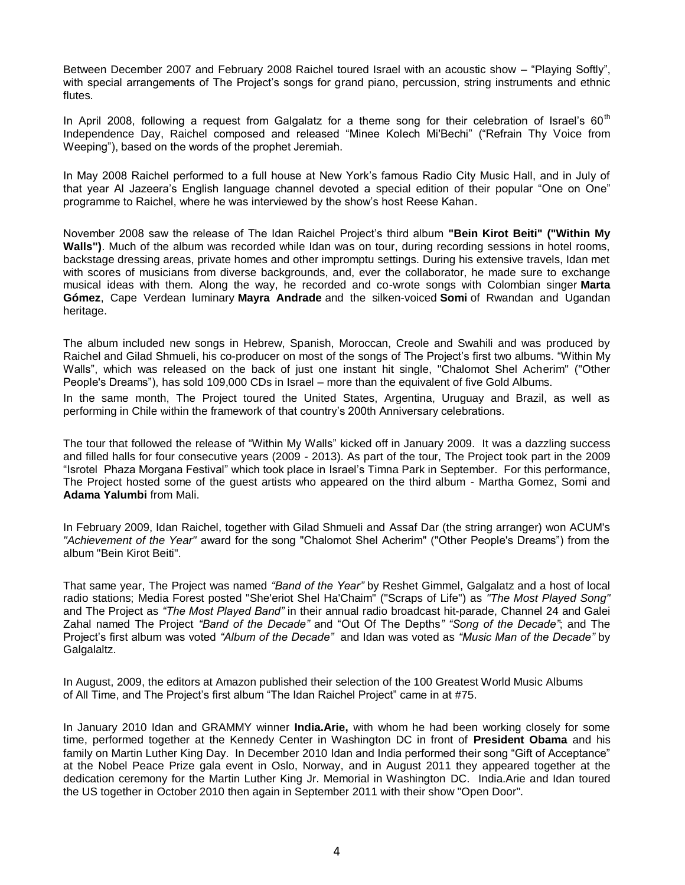Between December 2007 and February 2008 Raichel toured Israel with an acoustic show – "Playing Softly", with special arrangements of The Project's songs for grand piano, percussion, string instruments and ethnic flutes.

In April 2008, following a request from Galgalatz for a theme song for their celebration of Israel's  $60<sup>th</sup>$ Independence Day, Raichel composed and released "Minee Kolech Mi'Bechi" ("Refrain Thy Voice from Weeping"), based on the words of the prophet Jeremiah.

In May 2008 Raichel performed to a full house at New York's famous Radio City Music Hall, and in July of that year Al Jazeera's English language channel devoted a special edition of their popular "One on One" programme to Raichel, where he was interviewed by the show's host Reese Kahan.

November 2008 saw the release of The Idan Raichel Project's third album **"Bein Kirot Beiti" ("Within My Walls")**. Much of the album was recorded while Idan was on tour, during recording sessions in hotel rooms, backstage dressing areas, private homes and other impromptu settings. During his extensive travels, Idan met with scores of musicians from diverse backgrounds, and, ever the collaborator, he made sure to exchange musical ideas with them. Along the way, he recorded and co-wrote songs with Colombian singer **Marta Gómez**, Cape Verdean luminary **Mayra Andrade** and the silken-voiced **Somi** of Rwandan and Ugandan heritage.

The album included new songs in Hebrew, Spanish, Moroccan, Creole and Swahili and was produced by Raichel and Gilad Shmueli, his co-producer on most of the songs of The Project's first two albums. "Within My Walls", which was released on the back of just one instant hit single, "Chalomot Shel Acherim" ("Other People's Dreams"), has sold 109,000 CDs in Israel – more than the equivalent of five Gold Albums.

In the same month, The Project toured the United States, Argentina, Uruguay and Brazil, as well as performing in Chile within the framework of that country's 200th Anniversary celebrations.

The tour that followed the release of "Within My Walls" kicked off in January 2009. It was a dazzling success and filled halls for four consecutive years (2009 - 2013). As part of the tour, The Project took part in the 2009 "Isrotel Phaza Morgana Festival" which took place in Israel's Timna Park in September. For this performance, The Project hosted some of the guest artists who appeared on the third album - Martha Gomez, Somi and **Adama Yalumbi** from Mali.

In February 2009, Idan Raichel, together with Gilad Shmueli and Assaf Dar (the string arranger) won ACUM's *"Achievement of the Year"* award for the song "Chalomot Shel Acherim" ("Other People's Dreams") from the album "Bein Kirot Beiti".

That same year, The Project was named *"Band of the Year"* by Reshet Gimmel, Galgalatz and a host of local radio stations; Media Forest posted "She'eriot Shel Ha'Chaim" ("Scraps of Life") as *"The Most Played Song"* and The Project as *"The Most Played Band"* in their annual radio broadcast hit-parade, Channel 24 and Galei Zahal named The Project *"Band of the Decade"* and "Out Of The Depths*" "Song of the Decade"*; and The Project's first album was voted *"Album of the Decade"* and Idan was voted as *"Music Man of the Decade"* by Galgalaltz.

In August, 2009, the editors at Amazon published their selection of the 100 Greatest World Music Albums of All Time, and The Project's first album "The Idan Raichel Project" came in at #75.

In January 2010 Idan and GRAMMY winner **India.Arie,** with whom he had been working closely for some time, performed together at the Kennedy Center in Washington DC in front of **President Obama** and his family on Martin Luther King Day. In December 2010 Idan and India performed their song "Gift of Acceptance" at the Nobel Peace Prize gala event in Oslo, Norway, and in August 2011 they appeared together at the dedication ceremony for the Martin Luther King Jr. Memorial in Washington DC. India.Arie and Idan toured the US together in October 2010 then again in September 2011 with their show "Open Door".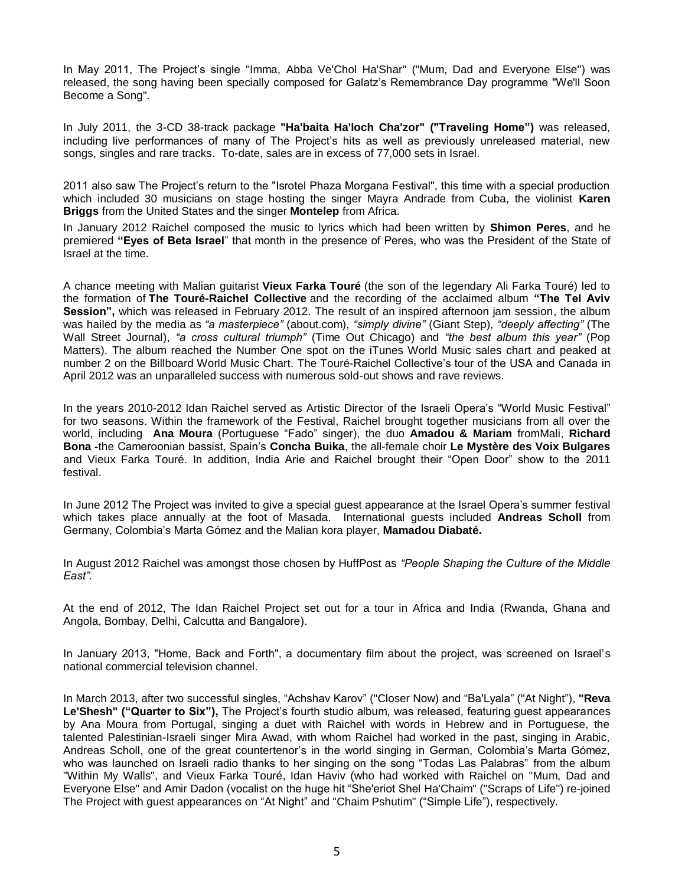In May 2011, The Project's single "Imma, Abba Ve'Chol Ha'Shar" ("Mum, Dad and Everyone Else") was released, the song having been specially composed for Galatz's Remembrance Day programme "We'll Soon Become a Song".

In July 2011, the 3-CD 38-track package **"Ha'baita Ha'loch Cha'zor" ("Traveling Home")** was released, including live performances of many of The Project's hits as well as previously unreleased material, new songs, singles and rare tracks. To-date, sales are in excess of 77,000 sets in Israel.

2011 also saw The Project's return to the "Isrotel Phaza Morgana Festival", this time with a special production which included 30 musicians on stage hosting the singer Mayra Andrade from Cuba, the violinist **Karen Briggs** from the United States and the singer **Montelep** from Africa.

In January 2012 Raichel composed the music to lyrics which had been written by **Shimon Peres**, and he premiered **"Eyes of Beta Israel**" that month in the presence of Peres, who was the President of the State of Israel at the time.

A chance meeting with Malian guitarist **Vieux Farka Touré** (the son of the legendary Ali Farka Touré) led to the formation of **The Touré-Raichel Collective** and the recording of the acclaimed album **"The Tel Aviv Session",** which was released in February 2012. The result of an inspired afternoon jam session, the album was hailed by the media as *"a masterpiece"* (about.com), *"simply divine"* (Giant Step), *"deeply affecting"* (The Wall Street Journal), *"a cross cultural triumph"* (Time Out Chicago) and *"the best album this year"* (Pop Matters). The album reached the Number One spot on the iTunes World Music sales chart and peaked at number 2 on the Billboard World Music Chart. The Touré-Raichel Collective's tour of the USA and Canada in April 2012 was an unparalleled success with numerous sold-out shows and rave reviews.

In the years 2010-2012 Idan Raichel served as Artistic Director of the Israeli Opera's "World Music Festival" for two seasons. Within the framework of the Festival, Raichel brought together musicians from all over the world, including **Ana Moura** (Portuguese "Fado" singer), the duo **Amadou & Mariam** fromMali, **Richard Bona** -the Cameroonian bassist, Spain's **Concha Buika**, the all-female choir **Le Mystère des Voix Bulgares** and Vieux Farka Touré. In addition, India Arie and Raichel brought their "Open Door" show to the 2011 festival.

In June 2012 The Project was invited to give a special guest appearance at the Israel Opera's summer festival which takes place annually at the foot of Masada. International guests included **Andreas Scholl** from Germany, Colombia's Marta Gómez and the Malian kora player, **Mamadou Diabaté.**

In August 2012 Raichel was amongst those chosen by HuffPost as *"People Shaping the Culture of the Middle East".*

At the end of 2012, The Idan Raichel Project set out for a tour in Africa and India (Rwanda, Ghana and Angola, Bombay, Delhi, Calcutta and Bangalore).

In January 2013, "Home, Back and Forth", a documentary film about the project, was screened on Israel's national commercial television channel.

In March 2013, after two successful singles, "Achshav Karov" ("Closer Now) and "Ba'Lyala" ("At Night"), **"Reva Le'Shesh" ("Quarter to Six"),** The Project's fourth studio album, was released, featuring guest appearances by Ana Moura from Portugal, singing a duet with Raichel with words in Hebrew and in Portuguese, the talented Palestinian-Israeli singer Mira Awad, with whom Raichel had worked in the past, singing in Arabic, Andreas Scholl, one of the great countertenor's in the world singing in German, Colombia's Marta Gómez, who was launched on Israeli radio thanks to her singing on the song "Todas Las Palabras" from the album "Within My Walls", and Vieux Farka Touré, Idan Haviv (who had worked with Raichel on "Mum, Dad and Everyone Else" and Amir Dadon (vocalist on the huge hit "She'eriot Shel Ha'Chaim" ("Scraps of Life") re-joined The Project with guest appearances on "At Night" and "Chaim Pshutim" ("Simple Life"), respectively.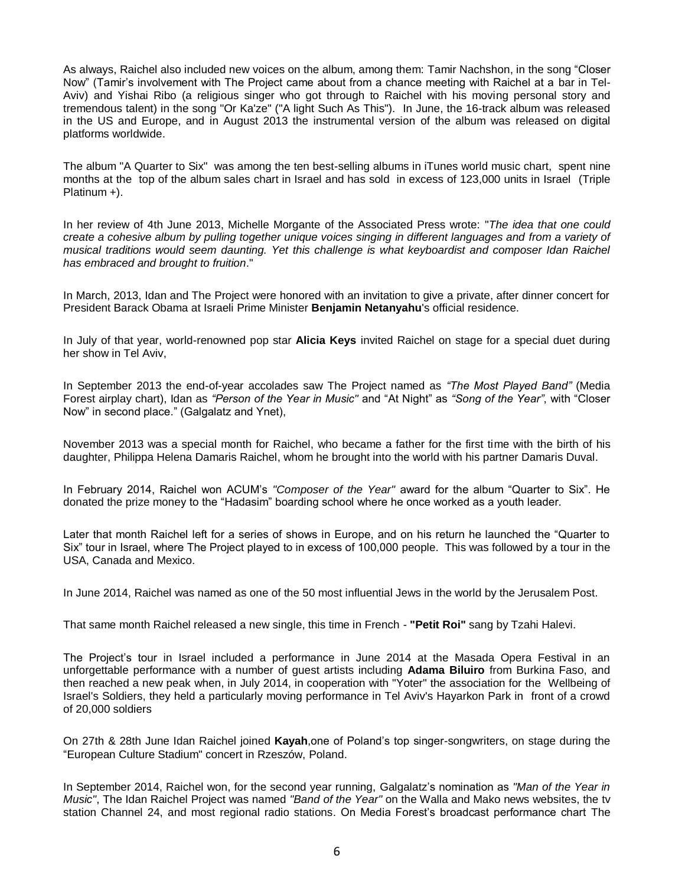As always, Raichel also included new voices on the album, among them: Tamir Nachshon, in the song "Closer Now" (Tamir's involvement with The Project came about from a chance meeting with Raichel at a bar in Tel-Aviv) and Yishai Ribo (a religious singer who got through to Raichel with his moving personal story and tremendous talent) in the song "Or Ka'ze" ("A light Such As This"). In June, the 16-track album was released in the US and Europe, and in August 2013 the instrumental version of the album was released on digital platforms worldwide.

The album "A Quarter to Six" was among the ten best-selling albums in iTunes world music chart, spent nine months at the top of the album sales chart in Israel and has sold in excess of 123,000 units in Israel (Triple Platinum +).

In her review of 4th June 2013, Michelle Morgante of the Associated Press wrote: "*The idea that one could create a cohesive album by pulling together unique voices singing in different languages and from a variety of musical traditions would seem daunting. Yet this challenge is what keyboardist and composer Idan Raichel has embraced and brought to fruition*."

In March, 2013, Idan and The Project were honored with an invitation to give a private, after dinner concert for President Barack Obama at Israeli Prime Minister **Benjamin Netanyahu**'s official residence.

In July of that year, world-renowned pop star **Alicia Keys** invited Raichel on stage for a special duet during her show in Tel Aviv,

In September 2013 the end-of-year accolades saw The Project named as *"The Most Played Band"* (Media Forest airplay chart), Idan as *"Person of the Year in Music"* and "At Night" as *"Song of the Year"*, with "Closer Now" in second place." (Galgalatz and Ynet),

November 2013 was a special month for Raichel, who became a father for the first time with the birth of his daughter, Philippa Helena Damaris Raichel, whom he brought into the world with his partner Damaris Duval.

In February 2014, Raichel won ACUM's *"Composer of the Year"* award for the album "Quarter to Six". He donated the prize money to the "Hadasim" boarding school where he once worked as a youth leader.

Later that month Raichel left for a series of shows in Europe, and on his return he launched the "Quarter to Six" tour in Israel, where The Project played to in excess of 100,000 people. This was followed by a tour in the USA, Canada and Mexico.

In June 2014, Raichel was named as one of the 50 most influential Jews in the world by the Jerusalem Post.

That same month Raichel released a new single, this time in French - **"Petit Roi"** sang by Tzahi Halevi.

The Project's tour in Israel included a performance in June 2014 at the Masada Opera Festival in an unforgettable performance with a number of guest artists including **Adama Biluiro** from Burkina Faso, and then reached a new peak when, in July 2014, in cooperation with "Yoter" the association for the Wellbeing of Israel's Soldiers, they held a particularly moving performance in Tel Aviv's Hayarkon Park in front of a crowd of 20,000 soldiers

On 27th & 28th June Idan Raichel joined **Kayah**,one of Poland's top singer-songwriters, on stage during the "European Culture Stadium" concert in Rzeszów, Poland.

In September 2014, Raichel won, for the second year running, Galgalatz's nomination as *"Man of the Year in Music"*, The Idan Raichel Project was named *"Band of the Year"* on the Walla and Mako news websites, the tv station Channel 24, and most regional radio stations. On Media Forest's broadcast performance chart The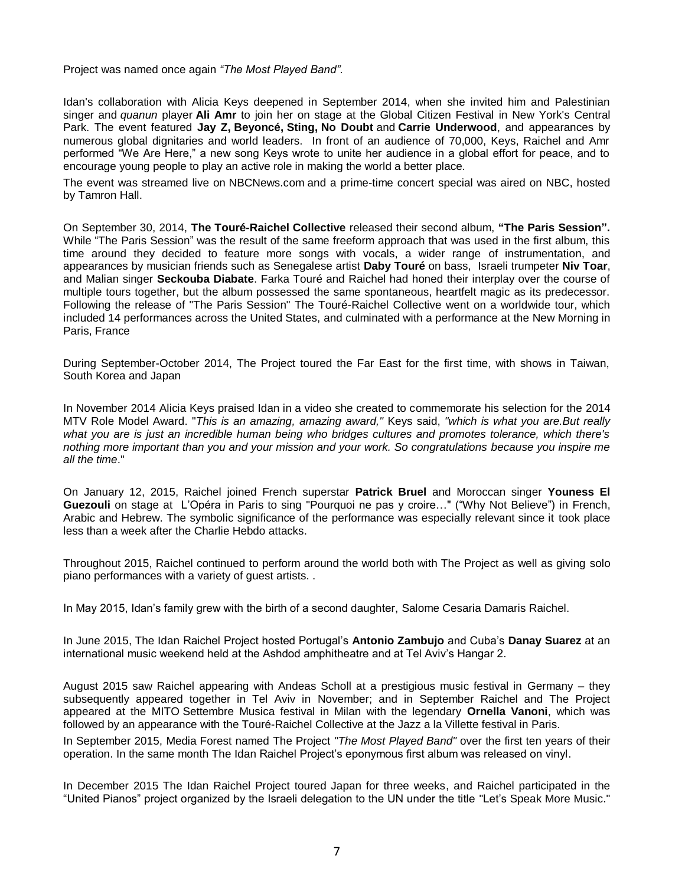Project was named once again *"The Most Played Band"*.

Idan's collaboration with Alicia Keys deepened in September 2014, when she invited him and Palestinian singer and *quanun* player **Ali Amr** to join her on stage at the Global Citizen Festival in New York's Central Park. The event featured **Jay Z, Beyoncé, Sting, No Doubt** and **Carrie Underwood**, and appearances by numerous global dignitaries and world leaders. In front of an audience of 70,000, Keys, Raichel and Amr performed "We Are Here," a new song Keys wrote to unite her audience in a global effort for peace, and to encourage young people to play an active role in making the world a better place.

The event was streamed live on [NBCNews.com](http://nbcnews.com/) and a prime-time concert special was aired on NBC, hosted by Tamron Hall.

On September 30, 2014, **The Touré-Raichel Collective** released their second album, **"The Paris Session".** While "The Paris Session" was the result of the same freeform approach that was used in the first album, this time around they decided to feature more songs with vocals, a wider range of instrumentation, and appearances by musician friends such as Senegalese artist **Daby Touré** on bass, Israeli trumpeter **Niv Toar**, and Malian singer **Seckouba Diabate**. Farka Touré and Raichel had honed their interplay over the course of multiple tours together, but the album possessed the same spontaneous, heartfelt magic as its predecessor. Following the release of "The Paris Session" The Touré-Raichel Collective went on a worldwide tour, which included 14 performances across the United States, and culminated with a performance at the New Morning in Paris, France

During September-October 2014, The Project toured the Far East for the first time, with shows in Taiwan, South Korea and Japan

In November 2014 Alicia Keys praised Idan in a video she created to commemorate his selection for the 2014 MTV Role Model Award. "*This is an amazing, amazing award,"* Keys said, *"which is what you are.But really what you are is just an incredible human being who bridges cultures and promotes tolerance, which there's nothing more important than you and your mission and your work. So congratulations because you inspire me all the time*."

On January 12, 2015, Raichel joined French superstar **Patrick Bruel** and Moroccan singer **Youness El Guezouli** on stage at L'Opéra in Paris to sing "Pourquoi ne pas y croire…" ("Why Not Believe") in French, Arabic and Hebrew. The symbolic significance of the performance was especially relevant since it took place less than a week after the Charlie Hebdo attacks.

Throughout 2015, Raichel continued to perform around the world both with The Project as well as giving solo piano performances with a variety of guest artists. .

In May 2015, Idan's family grew with the birth of a second daughter, Salome Cesaria Damaris Raichel.

In June 2015, The Idan Raichel Project hosted Portugal's **Antonio Zambujo** and Cuba's **Danay Suarez** at an international music weekend held at the Ashdod amphitheatre and at Tel Aviv's Hangar 2.

August 2015 saw Raichel appearing with Andeas Scholl at a prestigious music festival in Germany – they subsequently appeared together in Tel Aviv in November; and in September Raichel and The Project appeared at the [MITO](http://www.mitosettembremusica.it/) Settembre Musica festival in Milan with the legendary **Ornella Vanoni**, which was followed by an appearance with the Touré-Raichel Collective at the Jazz a la Villette festival in Paris.

In September 2015, Media Forest named The Project *"The Most Played Band"* over the first ten years of their operation. In the same month The Idan Raichel Project's eponymous first album was released on vinyl.

In December 2015 The Idan Raichel Project toured Japan for three weeks, and Raichel participated in the "United Pianos" project organized by the Israeli delegation to the UN under the title "Let's Speak More Music."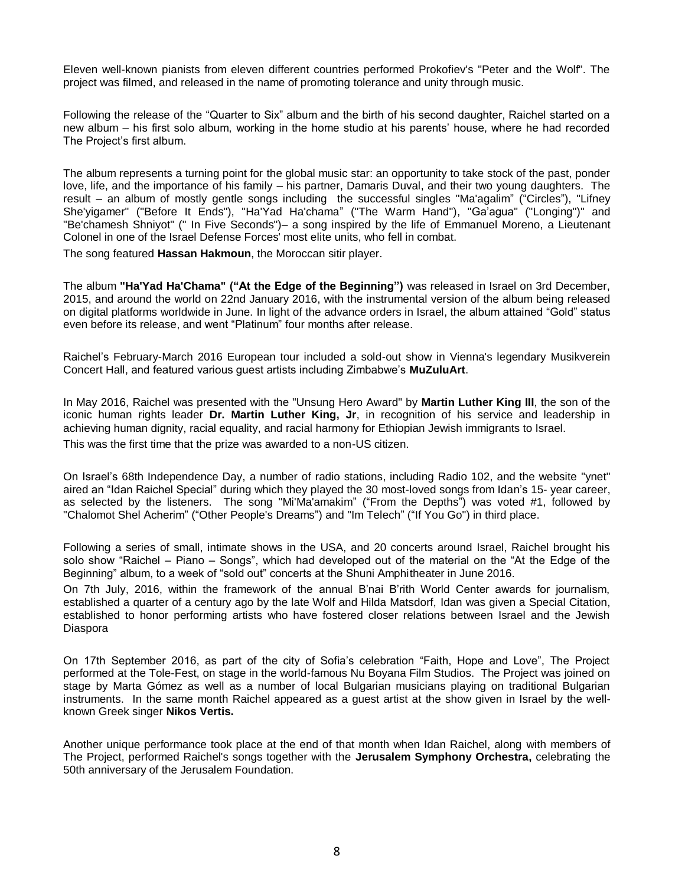Eleven well-known pianists from eleven different countries performed Prokofiev's "Peter and the Wolf". The project was filmed, and released in the name of promoting tolerance and unity through music.

Following the release of the "Quarter to Six" album and the birth of his second daughter, Raichel started on a new album – his first solo album, working in the home studio at his parents' house, where he had recorded The Project's first album.

The album represents a turning point for the global music star: an opportunity to take stock of the past, ponder love, life, and the importance of his family – his partner, Damaris Duval, and their two young daughters. The result – an album of mostly gentle songs including the successful singles "Ma'agalim" ("Circles"), "Lifney She'yigamer" ("Before It Ends"), "Ha'Yad Ha'chama" ("The Warm Hand"), "Ga'agua" ("Longing")" and "Be'chamesh Shniyot" (" In Five Seconds")– a song inspired by the life of Emmanuel Moreno, a Lieutenant Colonel in one of the Israel Defense Forces' most elite units, who fell in combat.

The song featured **Hassan Hakmoun**, the Moroccan sitir player.

The album **"Ha'Yad Ha'Chama" ("At the Edge of the Beginning")** was released in Israel on 3rd December, 2015, and around the world on 22nd January 2016, with the instrumental version of the album being released on digital platforms worldwide in June. In light of the advance orders in Israel, the album attained "Gold" status even before its release, and went "Platinum" four months after release.

Raichel's February-March 2016 European tour included a sold-out show in Vienna's legendary Musikverein Concert Hall, and featured various guest artists including Zimbabwe's **MuZuluArt**.

In May 2016, Raichel was presented with the "Unsung Hero Award" by **Martin Luther King III**, the son of the iconic human rights leader **Dr. Martin Luther King, Jr**, in recognition of his service and leadership in achieving human dignity, racial equality, and racial harmony for Ethiopian Jewish immigrants to Israel. This was the first time that the prize was awarded to a non-US citizen.

On Israel's 68th Independence Day, a number of radio stations, including Radio 102, and the website "ynet" aired an "Idan Raichel Special" during which they played the 30 most-loved songs from Idan's 15- year career, as selected by the listeners. The song "Mi'Ma'amakim" ("From the Depths") was voted #1, followed by "Chalomot Shel Acherim" ("Other People's Dreams") and "Im Telech" ("If You Go") in third place.

Following a series of small, intimate shows in the USA, and 20 concerts around Israel, Raichel brought his solo show "Raichel – Piano – Songs", which had developed out of the material on the "At the Edge of the Beginning" album, to a week of "sold out" concerts at the Shuni Amphitheater in June 2016.

On 7th July, 2016, within the framework of the annual B'nai B'rith World Center awards for journalism, established a quarter of a century ago by the late Wolf and Hilda Matsdorf, Idan was given a Special Citation, established to honor performing artists who have fostered closer relations between Israel and the Jewish Diaspora

On 17th September 2016, as part of the city of Sofia's celebration "Faith, Hope and Love", The Project performed at the Tole-Fest, on stage in the world-famous Nu Boyana Film Studios. The Project was joined on stage by Marta Gómez as well as a number of local Bulgarian musicians playing on traditional Bulgarian instruments. In the same month Raichel appeared as a guest artist at the show given in Israel by the wellknown Greek singer **Nikos Vertis.**

Another unique performance took place at the end of that month when Idan Raichel, along with members of The Project, performed Raichel's songs together with the **Jerusalem Symphony Orchestra,** celebrating the 50th anniversary of the Jerusalem Foundation.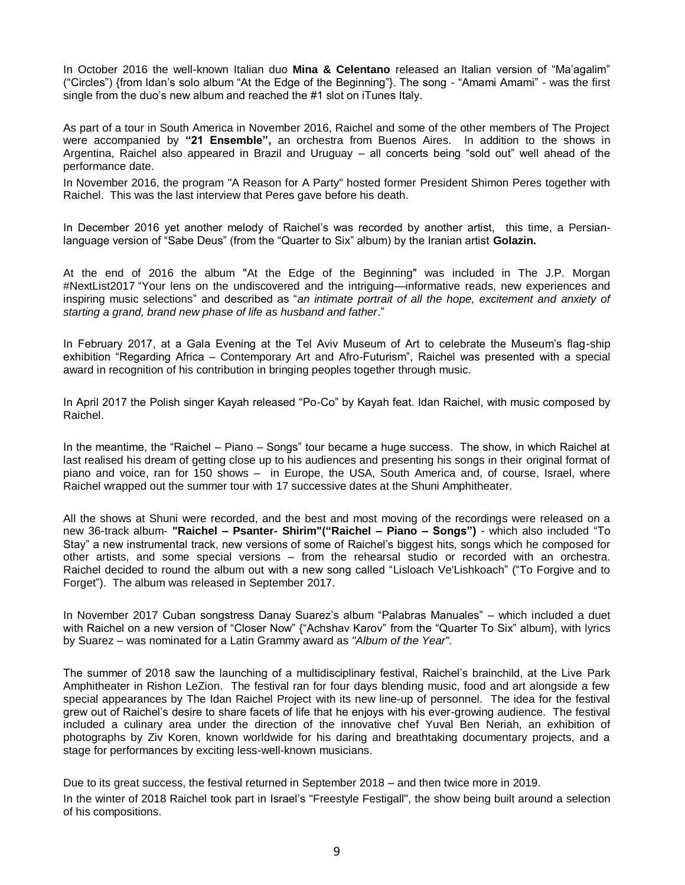In October 2016 the well-known Italian duo **Mina & Celentano** released an Italian version of "Ma'agalim" ("Circles") {from Idan's solo album "At the Edge of the Beginning"}. The song - "Amami Amami" - was the first single from the duo's new album and reached the #1 slot on iTunes Italy.

As part of a tour in South America in November 2016, Raichel and some of the other members of The Project were accompanied by **"21 Ensemble",** an orchestra from Buenos Aires. In addition to the shows in Argentina, Raichel also appeared in Brazil and Uruguay – all concerts being "sold out" well ahead of the performance date.

In November 2016, the program "A Reason for A Party" hosted former President Shimon Peres together with Raichel. This was the last interview that Peres gave before his death.

In December 2016 yet another melody of Raichel's was recorded by another artist, this time, a Persianlanguage version of "Sabe Deus" (from the "Quarter to Six" album) by the Iranian artist **Golazin.**

At the end of 2016 the album "At the Edge of the Beginning" was included in The J.P. Morgan #NextList2017 "Your lens on the undiscovered and the intriguing—informative reads, new experiences and inspiring music selections" and described as "*an intimate portrait of all the hope, excitement and anxiety of starting a grand, brand new phase of life as husband and father*."

In February 2017, at a Gala Evening at the Tel Aviv Museum of Art to celebrate the Museum's flag-ship exhibition "Regarding Africa – Contemporary Art and Afro-Futurism", Raichel was presented with a special award in recognition of his contribution in bringing peoples together through music.

In April 2017 the Polish singer Kayah released "Po-Co" by Kayah feat. Idan Raichel, with music composed by Raichel.

In the meantime, the "Raichel – Piano – Songs" tour became a huge success. The show, in which Raichel at last realised his dream of getting close up to his audiences and presenting his songs in their original format of piano and voice, ran for 150 shows – in Europe, the USA, South America and, of course, Israel, where Raichel wrapped out the summer tour with 17 successive dates at the Shuni Amphitheater.

All the shows at Shuni were recorded, and the best and most moving of the recordings were released on a new 36-track album- **"Raichel – Psanter- Shirim"("Raichel – Piano – Songs")** - which also included "To Stay" a new instrumental track, new versions of some of Raichel's biggest hits, songs which he composed for other artists, and some special versions – from the rehearsal studio or recorded with an orchestra. Raichel decided to round the album out with a new song called "Lisloach Ve'Lishkoach" ("To Forgive and to Forget"). The album was released in September 2017.

In November 2017 Cuban songstress Danay Suarez's album "Palabras Manuales" – which included a duet with Raichel on a new version of "Closer Now" {"Achshav Karov" from the "Quarter To Six" album}, with lyrics by Suarez – was nominated for a Latin Grammy award as *"Album of the Year".*

The summer of 2018 saw the launching of a multidisciplinary festival, Raichel's brainchild, at the Live Park Amphitheater in Rishon LeZion. The festival ran for four days blending music, food and art alongside a few special appearances by The Idan Raichel Project with its new line-up of personnel. The idea for the festival grew out of Raichel's desire to share facets of life that he enjoys with his ever-growing audience. The festival included a culinary area under the direction of the innovative chef Yuval Ben Neriah, an exhibition of photographs by Ziv Koren, known worldwide for his daring and breathtaking documentary projects, and a stage for performances by exciting less-well-known musicians.

Due to its great success, the festival returned in September 2018 – and then twice more in 2019.

In the winter of 2018 Raichel took part in Israel's "Freestyle Festigall", the show being built around a selection of his compositions.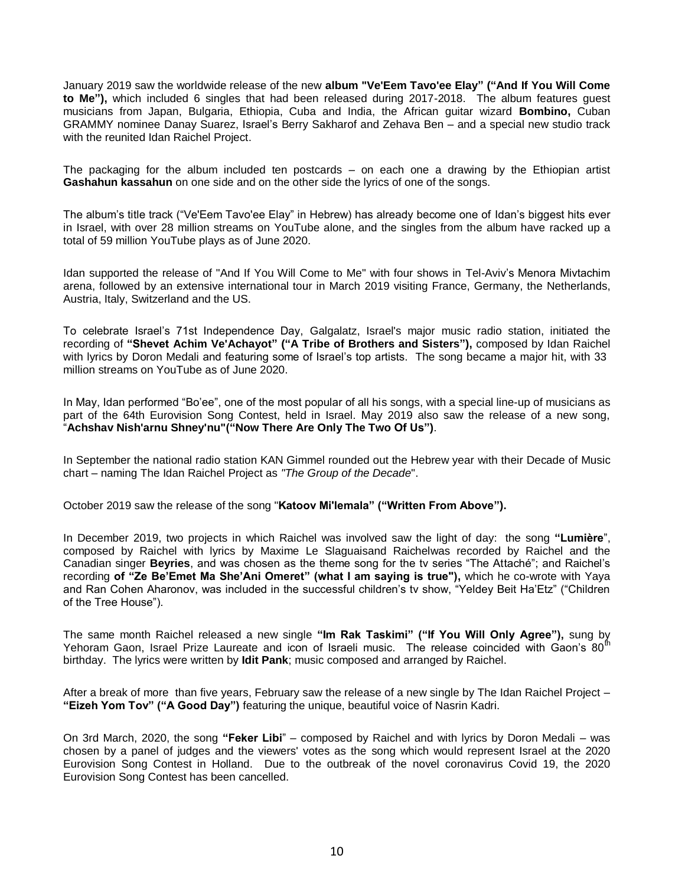January 2019 saw the worldwide release of the new **album "Ve'Eem Tavo'ee Elay" ("And If You Will Come to Me"),** which included 6 singles that had been released during 2017-2018. The album features guest musicians from Japan, Bulgaria, Ethiopia, Cuba and India, the African guitar wizard **Bombino,** Cuban GRAMMY nominee Danay Suarez, Israel's Berry Sakharof and Zehava Ben – and a special new studio track with the reunited Idan Raichel Project.

The packaging for the album included ten postcards – on each one a drawing by the Ethiopian artist **Gashahun kassahun** on one side and on the other side the lyrics of one of the songs.

The album's title track ("Ve'Eem Tavo'ee Elay" in Hebrew) has already become one of Idan's biggest hits ever in Israel, with over 28 million streams on YouTube alone, and the singles from the album have racked up a total of 59 million YouTube plays as of June 2020.

Idan supported the release of "And If You Will Come to Me" with four shows in Tel-Aviv's Menora Mivtachim arena, followed by an extensive international tour in March 2019 visiting France, Germany, the Netherlands, Austria, Italy, Switzerland and the US.

To celebrate Israel's 71st Independence Day, Galgalatz, Israel's major music radio station, initiated the recording of **"Shevet Achim Ve'Achayot" ("A Tribe of Brothers and Sisters"),** composed by Idan Raichel with lyrics by Doron Medali and featuring some of Israel's top artists. The song became a major hit, with 33 million streams on YouTube as of June 2020.

In May, Idan performed "Bo'ee", one of the most popular of all his songs, with a special line-up of musicians as part of the 64th Eurovision Song Contest, held in Israel. May 2019 also saw the release of a new song, "**Achshav Nish'arnu Shney'nu"("Now There Are Only The Two Of Us")**.

In September the national radio station KAN Gimmel rounded out the Hebrew year with their Decade of Music chart – naming The Idan Raichel Project as *"The Group of the Decade*".

October 2019 saw the release of the song "**Katoov Mi'lemala" ("Written From Above").**

In December 2019, two projects in which Raichel was involved saw the light of day: the song **"Lumière**", composed by Raichel with lyrics by Maxime Le Slaguaisand Raichelwas recorded by Raichel and the Canadian singer **Beyries**, and was chosen as the theme song for the tv series "The Attaché"; and Raichel's recording **of "Ze Be'Emet Ma She'Ani Omeret" (what I am saying is true"),** which he co-wrote with Yaya and Ran Cohen Aharonov, was included in the successful children's tv show, "Yeldey Beit Ha'Etz" ("Children of the Tree House").

The same month Raichel released a new single **"Im Rak Taskimi" ("If You Will Only Agree"),** sung by Yehoram Gaon, Israel Prize Laureate and icon of Israeli music. The release coincided with Gaon's 80<sup>th</sup> birthday. The lyrics were written by **Idit Pank**; music composed and arranged by Raichel.

After a break of more than five years, February saw the release of a new single by The Idan Raichel Project – **"Eizeh Yom Tov" ("A Good Day")** featuring the unique, beautiful voice of Nasrin Kadri.

On 3rd March, 2020, the song **"Feker Libi**" – composed by Raichel and with lyrics by Doron Medali – was chosen by a panel of judges and the viewers' votes as the song which would represent Israel at the 2020 Eurovision Song Contest in Holland. Due to the outbreak of the novel coronavirus Covid 19, the 2020 Eurovision Song Contest has been cancelled.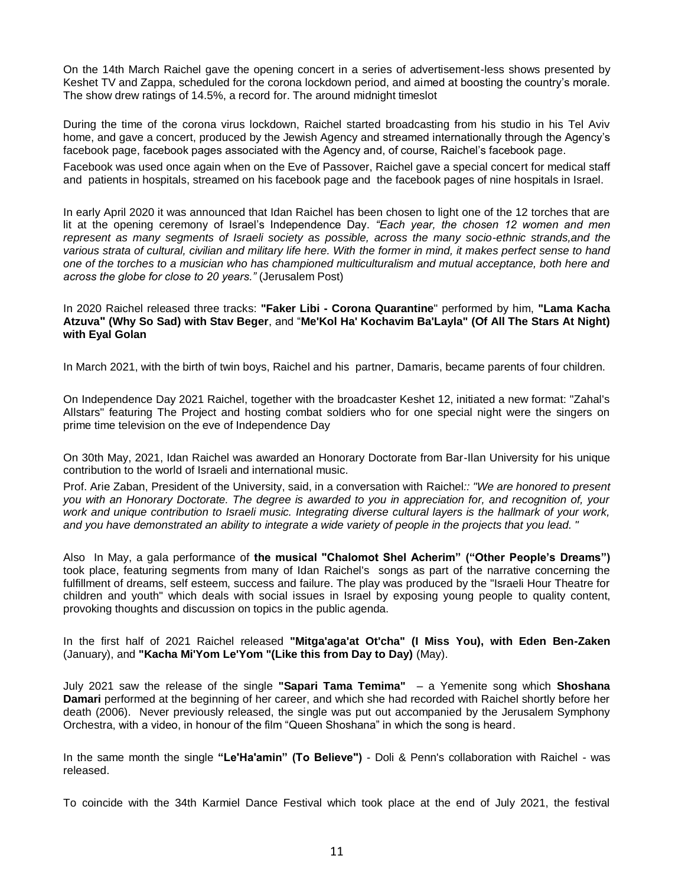On the 14th March Raichel gave the opening concert in a series of advertisement-less shows presented by Keshet TV and Zappa, scheduled for the corona lockdown period, and aimed at boosting the country's morale. The show drew ratings of 14.5%, a record for. The around midnight timeslot

During the time of the corona virus lockdown, Raichel started broadcasting from his studio in his Tel Aviv home, and gave a concert, produced by the Jewish Agency and streamed internationally through the Agency's facebook page, facebook pages associated with the Agency and, of course, Raichel's facebook page.

Facebook was used once again when on the Eve of Passover, Raichel gave a special concert for medical staff and patients in hospitals, streamed on his facebook page and the facebook pages of nine hospitals in Israel.

In early April 2020 it was announced that Idan Raichel has been chosen to light one of the 12 torches that are lit at the opening ceremony of Israel's Independence Day. *"Each year, the chosen 12 women and men represent as many segments of Israeli society as possible, across the many socio-ethnic strands,and the*  various strata of cultural, civilian and military life here. With the former in mind, it makes perfect sense to hand *one of the torches to a musician who has championed multiculturalism and mutual acceptance, both here and across the globe for close to 20 years."* (Jerusalem Post)

In 2020 Raichel released three tracks: **"Faker Libi - Corona Quarantine**" performed by him, **"Lama Kacha Atzuva" (Why So Sad) with Stav Beger**, and "**Me'Kol Ha' Kochavim Ba'Layla" (Of All The Stars At Night) with Eyal Golan**

In March 2021, with the birth of twin boys, Raichel and his partner, Damaris, became parents of four children.

On Independence Day 2021 Raichel, together with the broadcaster Keshet 12, initiated a new format: "Zahal's Allstars" featuring The Project and hosting combat soldiers who for one special night were the singers on prime time television on the eve of Independence Day

On 30th May, 2021, Idan Raichel was awarded an Honorary Doctorate from Bar-Ilan University for his unique contribution to the world of Israeli and international music.

Prof. Arie Zaban, President of the University, said, in a conversation with Raichel*:: "We are honored to present you with an Honorary Doctorate. The degree is awarded to you in appreciation for, and recognition of, your work and unique contribution to Israeli music. Integrating diverse cultural layers is the hallmark of your work, and you have demonstrated an ability to integrate a wide variety of people in the projects that you lead. "*

Also In May, a gala performance of **the musical "Chalomot Shel Acherim" ("Other People's Dreams")** took place, featuring segments from many of Idan Raichel's songs as part of the narrative concerning the fulfillment of dreams, self esteem, success and failure. The play was produced by the "Israeli Hour Theatre for children and youth" which deals with social issues in Israel by exposing young people to quality content, provoking thoughts and discussion on topics in the public agenda.

In the first half of 2021 Raichel released **"Mitga'aga'at Ot'cha" (I Miss You), with Eden Ben-Zaken** (January), and **"Kacha Mi'Yom Le'Yom "(Like this from Day to Day)** (May).

July 2021 saw the release of the single **"Sapari Tama Temima"** – a Yemenite song which **Shoshana Damari** performed at the beginning of her career, and which she had recorded with Raichel shortly before her death (2006). Never previously released, the single was put out accompanied by the Jerusalem Symphony Orchestra, with a video, in honour of the film "Queen Shoshana" in which the song is heard.

In the same month the single **"Le'Ha'amin" (To Believe")** - Doli & Penn's collaboration with Raichel - was released.

To coincide with the 34th Karmiel Dance Festival which took place at the end of July 2021, the festival